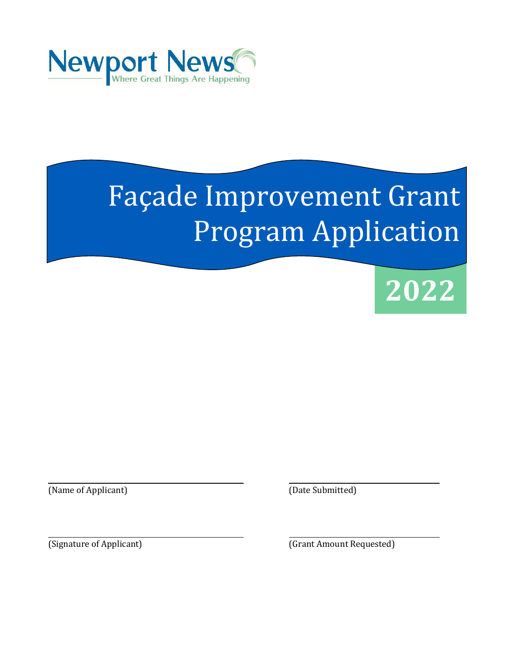

# Façade Improvement Grant Program Application



(Name of Applicant) (Date Submitted)

(Signature of Applicant) (Grant Amount Requested)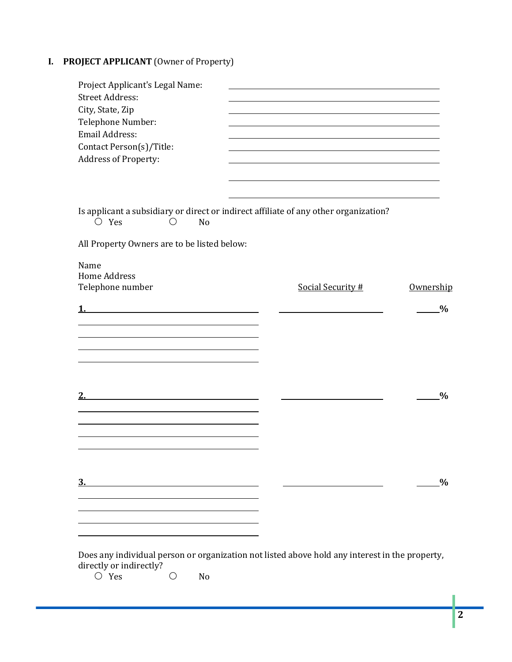## **I. PROJECT APPLICANT** (Owner of Property)

| Project Applicant's Legal Name:<br><b>Street Address:</b><br>City, State, Zip |                                                                                                |               |
|-------------------------------------------------------------------------------|------------------------------------------------------------------------------------------------|---------------|
| Telephone Number:                                                             |                                                                                                |               |
| Email Address:                                                                |                                                                                                |               |
| Contact Person(s)/Title:                                                      |                                                                                                |               |
| Address of Property:                                                          |                                                                                                |               |
|                                                                               |                                                                                                |               |
|                                                                               |                                                                                                |               |
| $\bigcirc$ Yes<br>No<br>$\left(\right)$                                       | Is applicant a subsidiary or direct or indirect affiliate of any other organization?           |               |
| All Property Owners are to be listed below:                                   |                                                                                                |               |
| Name                                                                          |                                                                                                |               |
| <b>Home Address</b>                                                           |                                                                                                |               |
| Telephone number                                                              | Social Security #                                                                              | Ownership     |
|                                                                               |                                                                                                | $\frac{0}{0}$ |
|                                                                               |                                                                                                |               |
|                                                                               |                                                                                                |               |
|                                                                               |                                                                                                |               |
|                                                                               |                                                                                                |               |
|                                                                               |                                                                                                |               |
|                                                                               |                                                                                                | $\frac{0}{0}$ |
|                                                                               |                                                                                                |               |
|                                                                               |                                                                                                |               |
|                                                                               |                                                                                                |               |
|                                                                               |                                                                                                |               |
|                                                                               |                                                                                                | $\frac{0}{0}$ |
| $\frac{3}{2}$                                                                 |                                                                                                |               |
|                                                                               |                                                                                                |               |
|                                                                               |                                                                                                |               |
|                                                                               |                                                                                                |               |
|                                                                               | Does any individual person or organization not listed above hold any interest in the property, |               |
| directly or indirectly?                                                       |                                                                                                |               |

 $O$  Yes  $O$  No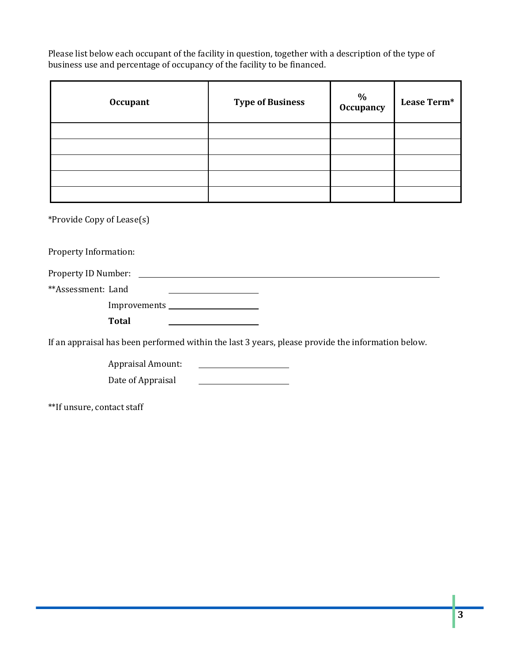Please list below each occupant of the facility in question, together with a description of the type of business use and percentage of occupancy of the facility to be financed.

| <b>Occupant</b> | <b>Type of Business</b> | $\%$<br>Occupancy | Lease Term* |
|-----------------|-------------------------|-------------------|-------------|
|                 |                         |                   |             |
|                 |                         |                   |             |
|                 |                         |                   |             |
|                 |                         |                   |             |
|                 |                         |                   |             |

\*Provide Copy of Lease(s)

Property Information:

| Property ID Number: |  |
|---------------------|--|
| **Assessment: Land  |  |
| Improvements        |  |

**Total** 

If an appraisal has been performed within the last 3 years, please provide the information below.

Appraisal Amount:

Date of Appraisal **CONDITE:** 

\*\*If unsure, contact staff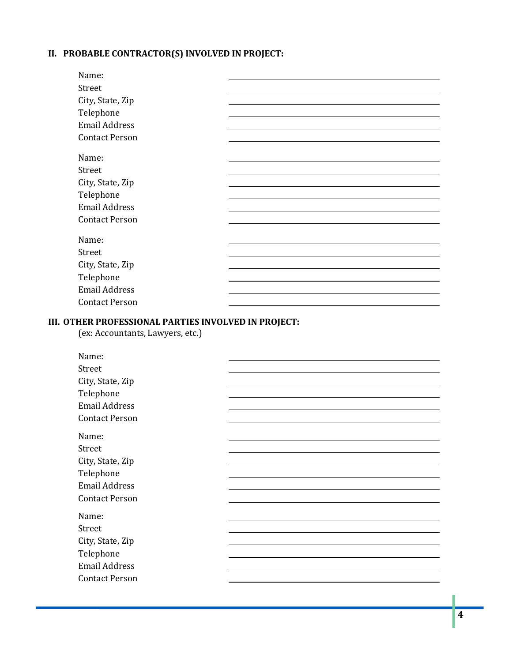## **II. PROBABLE CONTRACTOR(S) INVOLVED IN PROJECT:**

| Name:                 |  |
|-----------------------|--|
| Street                |  |
| City, State, Zip      |  |
| Telephone             |  |
| <b>Email Address</b>  |  |
| <b>Contact Person</b> |  |
| Name:                 |  |
| Street                |  |
| City, State, Zip      |  |
| Telephone             |  |
| <b>Email Address</b>  |  |
| <b>Contact Person</b> |  |
| Name:                 |  |
| Street                |  |
| City, State, Zip      |  |
| Telephone             |  |
| <b>Email Address</b>  |  |
| <b>Contact Person</b> |  |
|                       |  |

#### **III. OTHER PROFESSIONAL PARTIES INVOLVED IN PROJECT:**

(ex: Accountants, Lawyers, etc.)

| Name:                 |  |
|-----------------------|--|
| Street                |  |
| City, State, Zip      |  |
| Telephone             |  |
| <b>Email Address</b>  |  |
| <b>Contact Person</b> |  |
| Name:                 |  |
| Street                |  |
| City, State, Zip      |  |
| Telephone             |  |
| <b>Email Address</b>  |  |
| <b>Contact Person</b> |  |
| Name:                 |  |
| Street                |  |
| City, State, Zip      |  |
| Telephone             |  |
| <b>Email Address</b>  |  |
| <b>Contact Person</b> |  |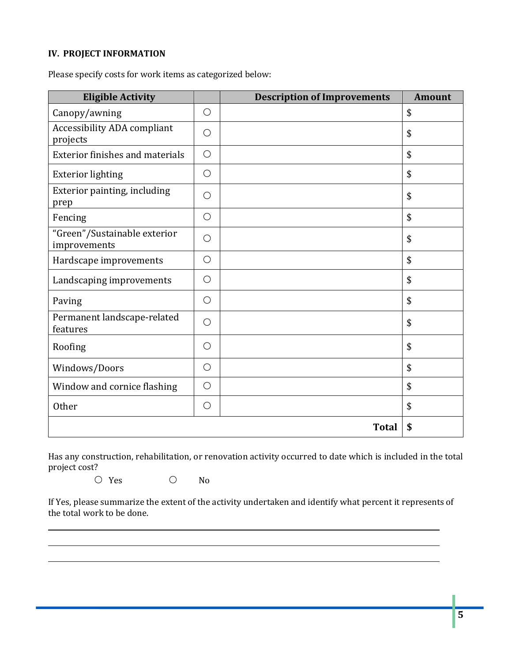### **IV. PROJECT INFORMATION**

Please specify costs for work items as categorized below:

| <b>Eligible Activity</b>                       |            | <b>Description of Improvements</b> | <b>Amount</b> |
|------------------------------------------------|------------|------------------------------------|---------------|
| Canopy/awning                                  | $\bigcirc$ |                                    | \$            |
| <b>Accessibility ADA compliant</b><br>projects | $\bigcirc$ |                                    | \$            |
| <b>Exterior finishes and materials</b>         | $\bigcirc$ |                                    | \$            |
| <b>Exterior lighting</b>                       | $\bigcirc$ |                                    | \$            |
| Exterior painting, including<br>prep           | $\bigcirc$ |                                    | \$            |
| Fencing                                        | $\bigcirc$ |                                    | \$            |
| "Green"/Sustainable exterior<br>improvements   | $\bigcirc$ |                                    | \$            |
| Hardscape improvements                         | $\bigcirc$ |                                    | \$            |
| Landscaping improvements                       | $\bigcirc$ |                                    | \$            |
| Paving                                         | $\bigcirc$ |                                    | \$            |
| Permanent landscape-related<br>features        | $\bigcirc$ |                                    | \$            |
| Roofing                                        | $\bigcirc$ |                                    | \$            |
| Windows/Doors                                  | $\bigcirc$ |                                    | \$            |
| Window and cornice flashing                    | $\bigcirc$ |                                    | \$            |
| Other                                          | $\bigcirc$ |                                    | \$            |
|                                                |            | <b>Total</b>                       | \$            |

Has any construction, rehabilitation, or renovation activity occurred to date which is included in the total project cost?

O Yes O No

If Yes, please summarize the extent of the activity undertaken and identify what percent it represents of the total work to be done.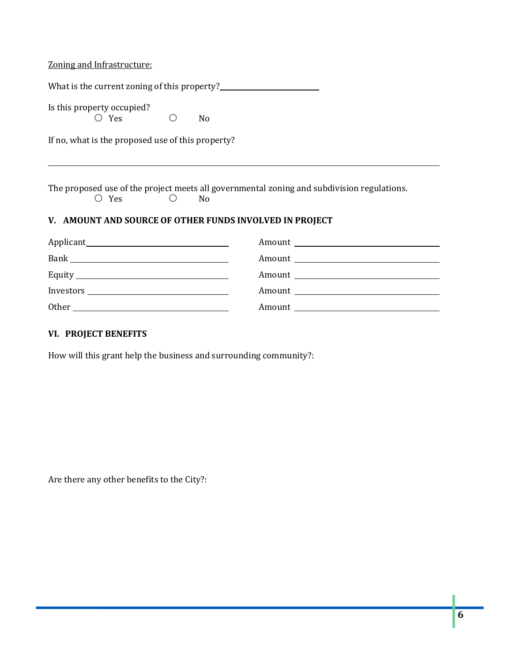Zoning and Infrastructure:

| Is this property occupied?<br>$\bigcirc$<br>$\circ$ Yes                                                                                                                                                                                                                                                                                                                                       | No |  |  |
|-----------------------------------------------------------------------------------------------------------------------------------------------------------------------------------------------------------------------------------------------------------------------------------------------------------------------------------------------------------------------------------------------|----|--|--|
| If no, what is the proposed use of this property?                                                                                                                                                                                                                                                                                                                                             |    |  |  |
|                                                                                                                                                                                                                                                                                                                                                                                               |    |  |  |
| The proposed use of the project meets all governmental zoning and subdivision regulations.<br>$\bigcirc$ Yes<br>$\bigcirc$<br>N <sub>0</sub>                                                                                                                                                                                                                                                  |    |  |  |
| V. AMOUNT AND SOURCE OF OTHER FUNDS INVOLVED IN PROJECT                                                                                                                                                                                                                                                                                                                                       |    |  |  |
|                                                                                                                                                                                                                                                                                                                                                                                               |    |  |  |
|                                                                                                                                                                                                                                                                                                                                                                                               |    |  |  |
|                                                                                                                                                                                                                                                                                                                                                                                               |    |  |  |
| $Investors \begin{tabular}{c} \hline \rule[1mm]{4mm}{1.1mm} \hline \rule[1mm]{4mm}{2.1mm} \rule[1mm]{4mm}{2.1mm} \rule[1mm]{4mm}{2.1mm} \rule[1mm]{4mm}{2.1mm} \rule[1mm]{4mm}{2.1mm} \rule[1mm]{4mm}{2.1mm} \rule[1mm]{4mm}{2.1mm} \rule[1mm]{4mm}{2.1mm} \rule[1mm]{4mm}{2.1mm} \rule[1mm]{4mm}{2.1mm} \rule[1mm]{4mm}{2.1mm} \rule[1mm]{4mm}{2.1mm} \rule[1mm]{4mm}{2.1mm} \rule[1mm]{4mm$ |    |  |  |
| Other contracts and the contract of the contract of the contract of the contract of the contract of the contract of the contract of the contract of the contract of the contract of the contract of the contract of the contra                                                                                                                                                                |    |  |  |
| VI PROJECT RENEFITS                                                                                                                                                                                                                                                                                                                                                                           |    |  |  |

**VI. PROJECT BENEFITS**

How will this grant help the business and surrounding community?:

Are there any other benefits to the City?: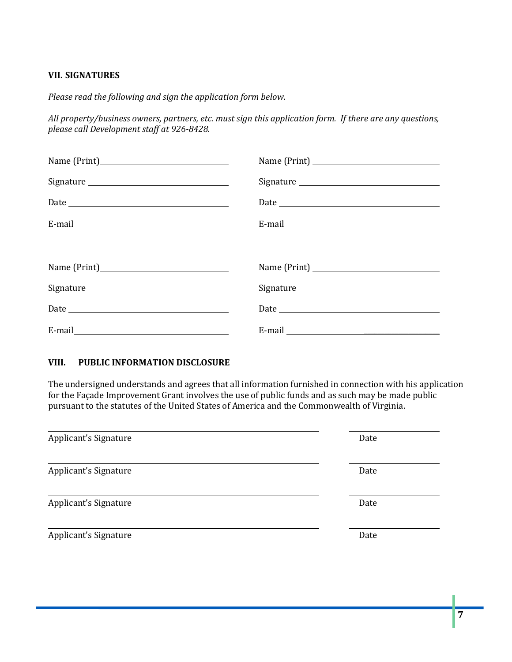#### **VII. SIGNATURES**

*Please read the following and sign the application form below.* 

*All property/business owners, partners, etc. must sign this application form. If there are any questions, please call Development staff at 926-8428.*

#### **VIII. PUBLIC INFORMATION DISCLOSURE**

The undersigned understands and agrees that all information furnished in connection with his application for the Façade Improvement Grant involves the use of public funds and as such may be made public pursuant to the statutes of the United States of America and the Commonwealth of Virginia.

| Applicant's Signature | Date |
|-----------------------|------|
| Applicant's Signature | Date |
| Applicant's Signature | Date |
| Applicant's Signature | Date |